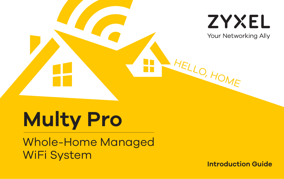

\* HELLO, HOME

# **Multy Pro**

Whole-Home Managed WiFi System **Introduction Guide**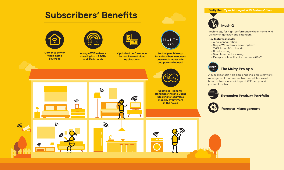# **Subscribers' Benefits Multy Pro | Zyxel Managed WiFi System Offers**



 $\widehat{\mathbb{G}}$ 

F.



**Corner to corner whole home coverage**

lte.



**covering both 2.4GHz and 5GHz bands**



**Optimized performance for mobility and video applications**



**Self-help mobile app for subscribers to access passwords, Guest WiFi and parental control**





**Seamless Roaming-Band Steering and Client Steering for seamless mobility everywhere in the house**

 $\widehat{\widehat{\pi}}$ 





A subscriber self-help app, enabling simple network management features such as complete view of home network, one-click guest WiFi setup, and parental control.



**Extensive Product Portfolio**



**Remote-Management**





Technology for high-performance whole-home WiFi using WiFi gateway and extenders.

## **Key features include:**

- Auto-configuration
- Single WiFi network covering both 2.4GHz and 5GHz bands
- Band steering
- Seamless client roaming
- Exceptional quality of experience (QoE)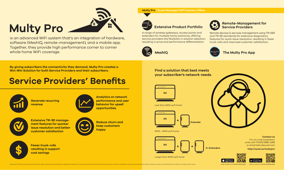# **Multy Pro**

is an advanced WiFi system that's an integration of hardware, software (MeshIQ, remote-management), and a mobile app. Together, they provide high performance corner to corner whole home WiFi coverage.

**Multy Pro | Zyxel Managed WiFi System Offers**

# **Extensive Product Portfolio**

A range of wireless gateways, access points and extenders for multiple home scenarios, offering service providers the flexibility in solution selection, resulting in price and performance differentiation.







## **Remote-Management for Service Providers**

Remote devices & services management using TR-069 and TR-181 standards for extensive diagnostics features for quick issue resolution, resulting in fewer truck-rolls and improved customer satisfaction.





**By giving subscribers the connectivity they demand, Multy Pro creates a Win-Win Solution for both Service Providers and their subscribers.** Find a solution that best meets

# **Service Providers' Benefits**



**Generate recurring revenue**

**Fewer truck-rolls resulting in support** 

**cost savings**



**Analytics on network performance and user behavior for upsell opportunities**



**\$**

**Extensive TR-181 management features for quicker issue resolution and better customer satisfaction**



**Reduce churn and keep customers happy**

**your subscriber's network needs.**



Less than 2000 sq ft home



### 2000 - 4000 sq ft home



Larger than 4000 sq ft home



**Contact Us** For no-cost evaluation units call 714.632.0882 x289 or email telco@zyxel.com

**http://zyxel.us/multypro**





Convright © 2017 Zyvel Communications Corp. All rights reserved Zyvel Jaya encepts are registered trademarks of Zyvel Communications Corp. All ather brands, product names, or trademarks mentioned are the property of their

http://zyxel.us/n